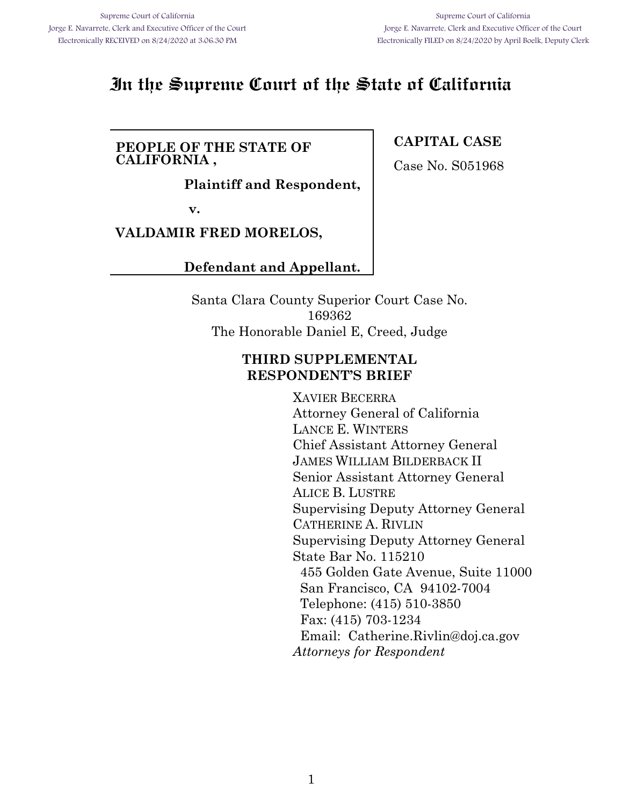# **In the Supreme Court of the State of California**

### **PEOPLE OF THE STATE OF CALIFORNIA ,**

**Plaintiff and Respondent,**

**v.**

## **VALDAMIR FRED MORELOS,**

## **Defendant and Appellant.**

Santa Clara County Superior Court Case No. 169362 The Honorable Daniel E, Creed, Judge

### **THIRD SUPPLEMENTAL RESPONDENT'S BRIEF**

XAVIER BECERRA Attorney General of California LANCE E. WINTERS Chief Assistant Attorney General JAMES WILLIAM BILDERBACK II Senior Assistant Attorney General ALICE B. LUSTRE Supervising Deputy Attorney General CATHERINE A. RIVLIN Supervising Deputy Attorney General State Bar No. 115210 455 Golden Gate Avenue, Suite 11000 San Francisco, CA 94102-7004 Telephone: (415) 510-3850 Fax: (415) 703-1234 Email: Catherine.Rivlin@doj.ca.gov *Attorneys for Respondent*

## **CAPITAL CASE**

Case No. S051968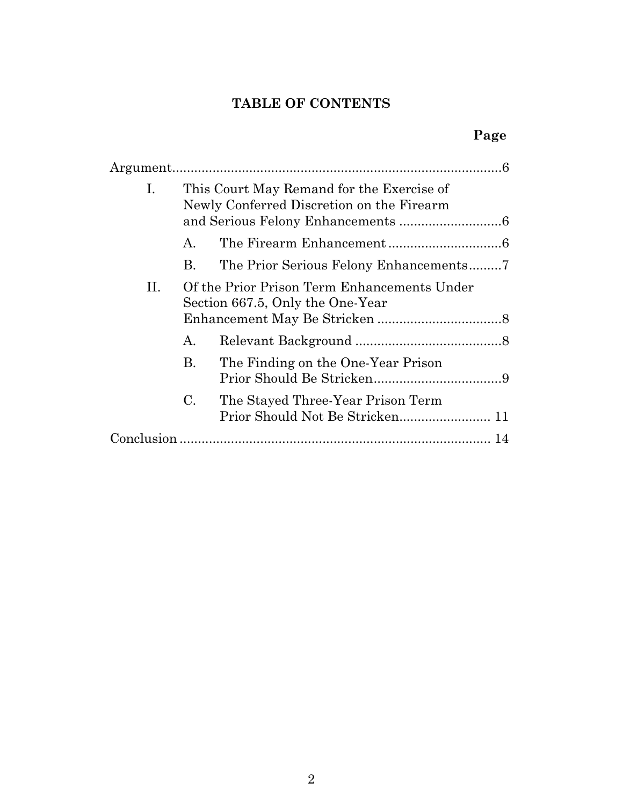# **TABLE OF CONTENTS**

| Ι. | This Court May Remand for the Exercise of<br>Newly Conferred Discretion on the Firearm |                                                                                 |
|----|----------------------------------------------------------------------------------------|---------------------------------------------------------------------------------|
|    | Α.                                                                                     |                                                                                 |
|    | В.                                                                                     |                                                                                 |
| П. |                                                                                        | Of the Prior Prison Term Enhancements Under<br>Section 667.5, Only the One-Year |
|    | A.                                                                                     |                                                                                 |
|    | <b>B.</b>                                                                              | The Finding on the One-Year Prison                                              |
|    | $\mathbf{C}$ .                                                                         | The Stayed Three-Year Prison Term                                               |
|    |                                                                                        |                                                                                 |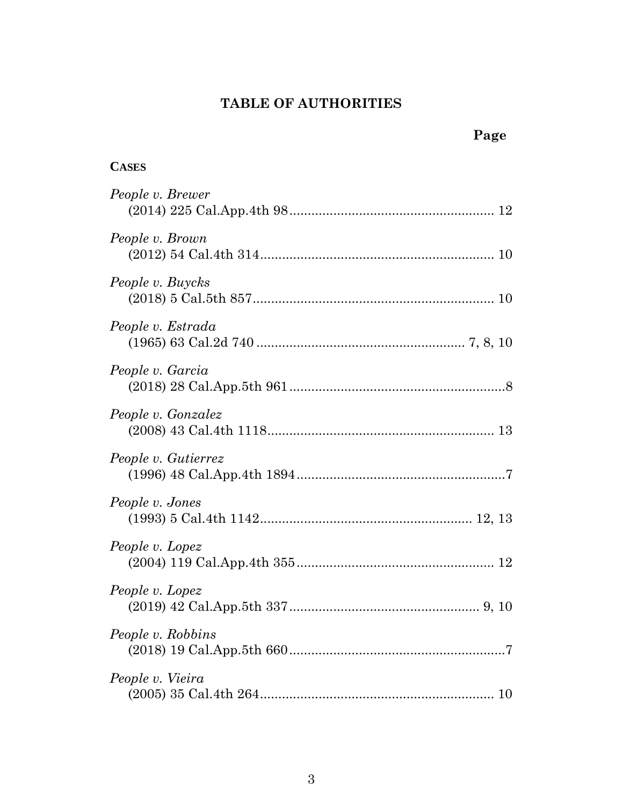# **TABLE OF AUTHORITIES**

**Page**

| <b>CASES</b>        |
|---------------------|
| People v. Brewer    |
| People v. Brown     |
| People v. Buycks    |
| People v. Estrada   |
| People v. Garcia    |
| People v. Gonzalez  |
| People v. Gutierrez |
| People v. Jones     |
| People v. Lopez     |
| People v. Lopez     |
| People v. Robbins   |
| People v. Vieira    |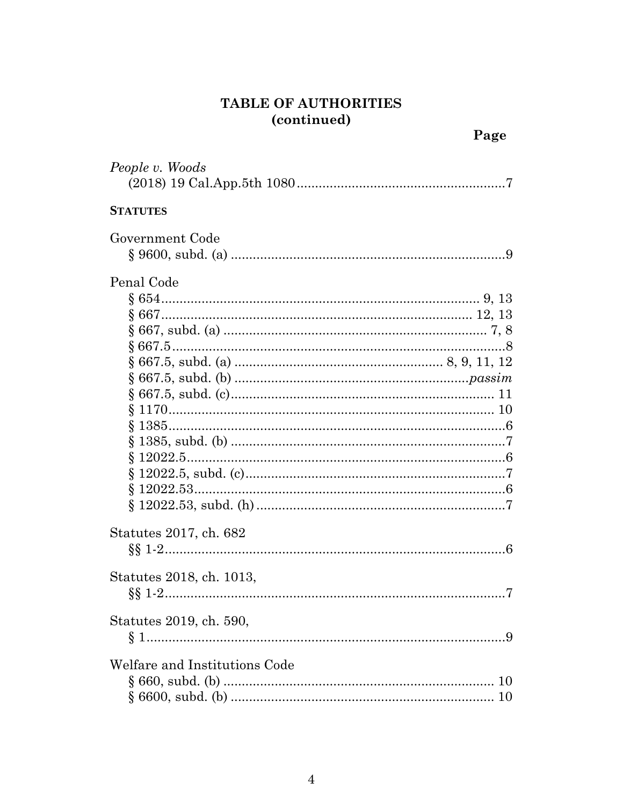# TABLE OF AUTHORITIES (continued)

Page

| People v. Woods                           |
|-------------------------------------------|
| <b>STATUTES</b>                           |
| Government Code                           |
| Penal Code                                |
| Statutes 2017, ch. 682                    |
| Statutes 2018, ch. 1013,                  |
| Statutes 2019, ch. 590,                   |
| Welfare and Institutions Code<br>10<br>10 |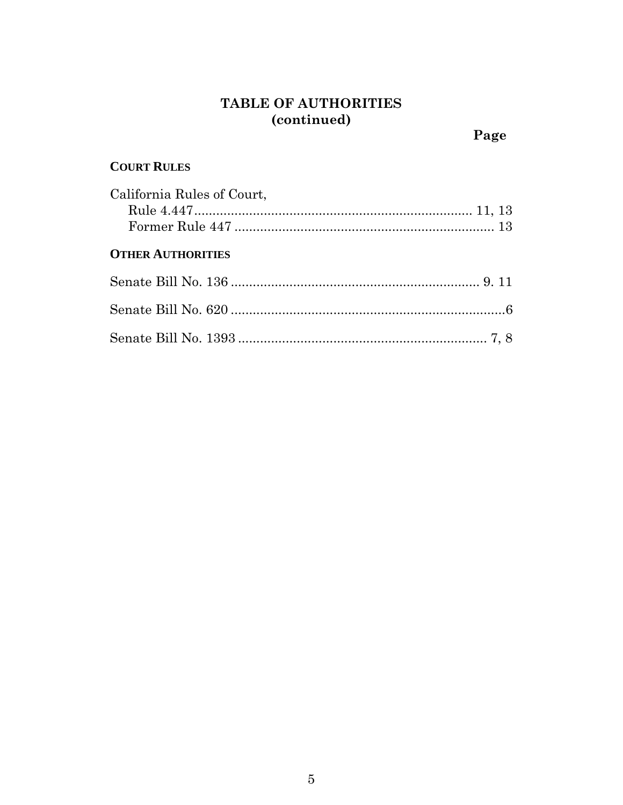# **TABLE OF AUTHORITIES (continued)**

# **COURT RULES**

| California Rules of Court,          |  |
|-------------------------------------|--|
|                                     |  |
|                                     |  |
| $\Omega$ minn $\Lambda$ imizonimina |  |

# **OTHER AUTHORITIES**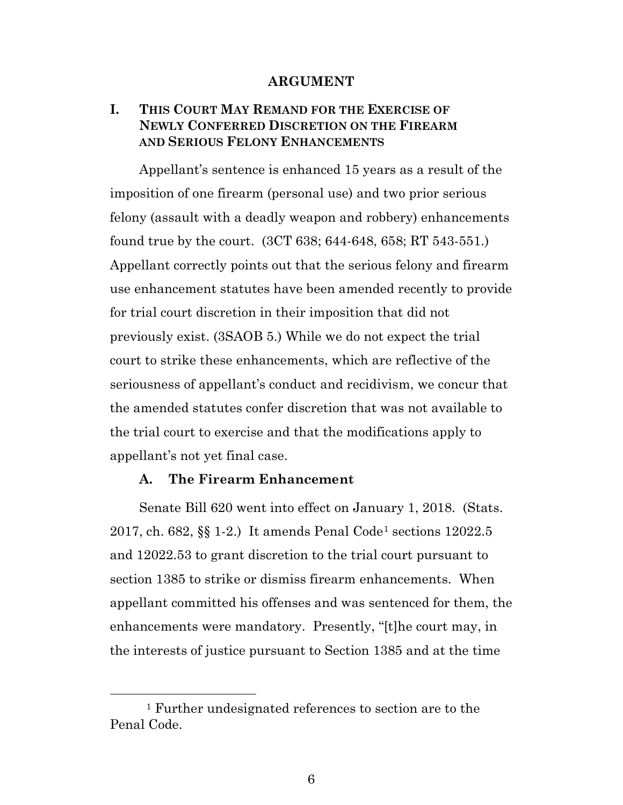#### **ARGUMENT**

## **I. THIS COURT MAY REMAND FOR THE EXERCISE OF NEWLY CONFERRED DISCRETION ON THE FIREARM AND SERIOUS FELONY ENHANCEMENTS**

Appellant's sentence is enhanced 15 years as a result of the imposition of one firearm (personal use) and two prior serious felony (assault with a deadly weapon and robbery) enhancements found true by the court. (3CT 638; 644-648, 658; RT 543-551.) Appellant correctly points out that the serious felony and firearm use enhancement statutes have been amended recently to provide for trial court discretion in their imposition that did not previously exist. (3SAOB 5.) While we do not expect the trial court to strike these enhancements, which are reflective of the seriousness of appellant's conduct and recidivism, we concur that the amended statutes confer discretion that was not available to the trial court to exercise and that the modifications apply to appellant's not yet final case.

#### **A. The Firearm Enhancement**

Senate Bill 620 went into effect on January 1, 2018. (Stats. 2017, ch. 682, §§ 1-2.) It amends Penal Code[1](#page-5-0) sections 12022.5 and 12022.53 to grant discretion to the trial court pursuant to section 1385 to strike or dismiss firearm enhancements. When appellant committed his offenses and was sentenced for them, the enhancements were mandatory. Presently, "[t]he court may, in the interests of justice pursuant to Section 1385 and at the time

<span id="page-5-0"></span> <sup>1</sup> Further undesignated references to section are to the Penal Code.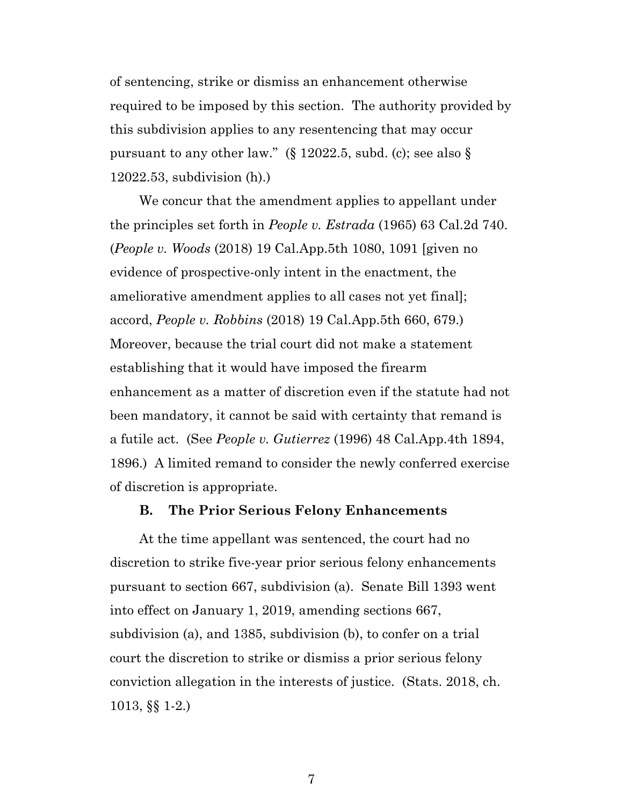of sentencing, strike or dismiss an enhancement otherwise required to be imposed by this section. The authority provided by this subdivision applies to any resentencing that may occur pursuant to any other law." ( $\S$  12022.5, subd. (c); see also  $\S$ 12022.53, subdivision (h).)

We concur that the amendment applies to appellant under the principles set forth in *People v. Estrada* (1965) 63 Cal.2d 740. (*People v. Woods* (2018) 19 Cal.App.5th 1080, 1091 [given no evidence of prospective-only intent in the enactment, the ameliorative amendment applies to all cases not yet final]; accord, *People v. Robbins* (2018) 19 Cal.App.5th 660, 679.) Moreover, because the trial court did not make a statement establishing that it would have imposed the firearm enhancement as a matter of discretion even if the statute had not been mandatory, it cannot be said with certainty that remand is a futile act. (See *People v. Gutierrez* (1996) 48 Cal.App.4th 1894, 1896.) A limited remand to consider the newly conferred exercise of discretion is appropriate.

#### **B. The Prior Serious Felony Enhancements**

At the time appellant was sentenced, the court had no discretion to strike five-year prior serious felony enhancements pursuant to section 667, subdivision (a). Senate Bill 1393 went into effect on January 1, 2019, amending sections 667, subdivision (a), and 1385, subdivision (b), to confer on a trial court the discretion to strike or dismiss a prior serious felony conviction allegation in the interests of justice. (Stats. 2018, ch. 1013, §§ 1-2.)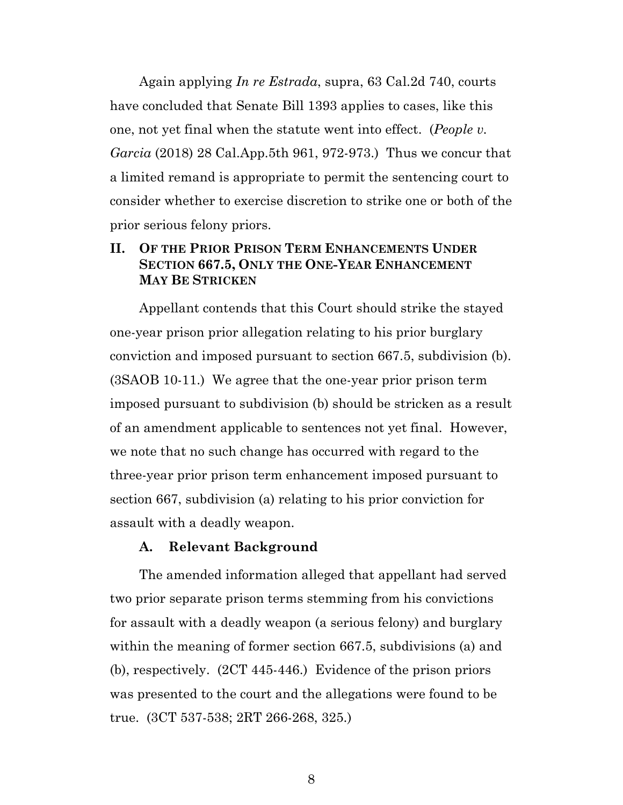Again applying *In re Estrada*, supra, 63 Cal.2d 740, courts have concluded that Senate Bill 1393 applies to cases, like this one, not yet final when the statute went into effect. (*People v. Garcia* (2018) 28 Cal.App.5th 961, 972-973.) Thus we concur that a limited remand is appropriate to permit the sentencing court to consider whether to exercise discretion to strike one or both of the prior serious felony priors.

### **II. OF THE PRIOR PRISON TERM ENHANCEMENTS UNDER SECTION 667.5, ONLY THE ONE-YEAR ENHANCEMENT MAY BE STRICKEN**

Appellant contends that this Court should strike the stayed one-year prison prior allegation relating to his prior burglary conviction and imposed pursuant to section 667.5, subdivision (b). (3SAOB 10-11.) We agree that the one-year prior prison term imposed pursuant to subdivision (b) should be stricken as a result of an amendment applicable to sentences not yet final. However, we note that no such change has occurred with regard to the three-year prior prison term enhancement imposed pursuant to section 667, subdivision (a) relating to his prior conviction for assault with a deadly weapon.

#### **A. Relevant Background**

The amended information alleged that appellant had served two prior separate prison terms stemming from his convictions for assault with a deadly weapon (a serious felony) and burglary within the meaning of former section 667.5, subdivisions (a) and (b), respectively. (2CT 445-446.) Evidence of the prison priors was presented to the court and the allegations were found to be true. (3CT 537-538; 2RT 266-268, 325.)

8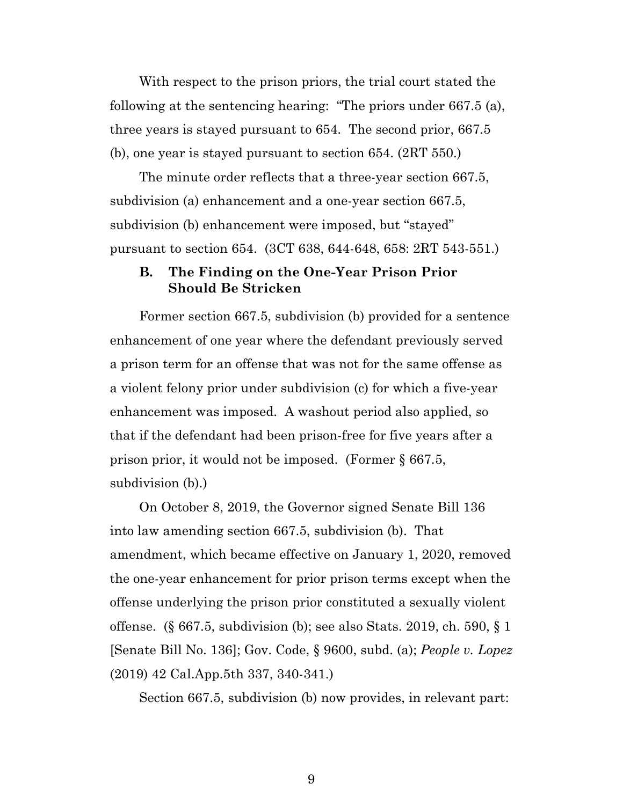With respect to the prison priors, the trial court stated the following at the sentencing hearing: "The priors under 667.5 (a), three years is stayed pursuant to 654. The second prior, 667.5 (b), one year is stayed pursuant to section 654. (2RT 550.)

The minute order reflects that a three-year section 667.5, subdivision (a) enhancement and a one-year section 667.5, subdivision (b) enhancement were imposed, but "stayed" pursuant to section 654. (3CT 638, 644-648, 658: 2RT 543-551.)

### **B. The Finding on the One-Year Prison Prior Should Be Stricken**

Former section 667.5, subdivision (b) provided for a sentence enhancement of one year where the defendant previously served a prison term for an offense that was not for the same offense as a violent felony prior under subdivision (c) for which a five-year enhancement was imposed. A washout period also applied, so that if the defendant had been prison-free for five years after a prison prior, it would not be imposed. (Former § 667.5, subdivision (b).)

On October 8, 2019, the Governor signed Senate Bill 136 into law amending section 667.5, subdivision (b). That amendment, which became effective on January 1, 2020, removed the one-year enhancement for prior prison terms except when the offense underlying the prison prior constituted a sexually violent offense. (§ 667.5, subdivision (b); see also Stats. 2019, ch. 590, § 1 [Senate Bill No. 136]; Gov. Code, § 9600, subd. (a); *People v. Lopez* (2019) 42 Cal.App.5th 337, 340-341.)

Section 667.5, subdivision (b) now provides, in relevant part: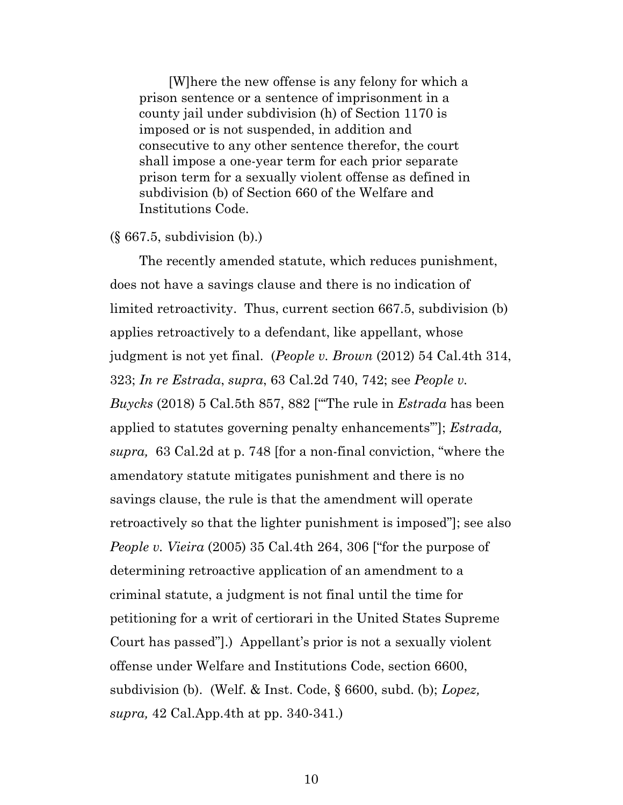[W]here the new offense is any felony for which a prison sentence or a sentence of imprisonment in a county jail under subdivision (h) of Section 1170 is imposed or is not suspended, in addition and consecutive to any other sentence therefor, the court shall impose a one-year term for each prior separate prison term for a sexually violent offense as defined in subdivision (b) of Section 660 of the Welfare and Institutions Code.

#### (§ 667.5, subdivision (b).)

The recently amended statute, which reduces punishment, does not have a savings clause and there is no indication of limited retroactivity. Thus, current section 667.5, subdivision (b) applies retroactively to a defendant, like appellant, whose judgment is not yet final. (*People v. Brown* (2012) 54 Cal.4th 314, 323; *In re Estrada*, *supra*, 63 Cal.2d 740, 742; see *People v. Buycks* (2018) 5 Cal.5th 857, 882 ["'The rule in *Estrada* has been applied to statutes governing penalty enhancements'"]; *Estrada, supra,* 63 Cal.2d at p. 748 [for a non-final conviction, "where the amendatory statute mitigates punishment and there is no savings clause, the rule is that the amendment will operate retroactively so that the lighter punishment is imposed"]; see also *People v. Vieira* (2005) 35 Cal.4th 264, 306 ["for the purpose of determining retroactive application of an amendment to a criminal statute, a judgment is not final until the time for petitioning for a writ of certiorari in the United States Supreme Court has passed"].) Appellant's prior is not a sexually violent offense under Welfare and Institutions Code, section 6600, subdivision (b). (Welf. & Inst. Code, § 6600, subd. (b); *Lopez, supra,* 42 Cal.App.4th at pp. 340-341.)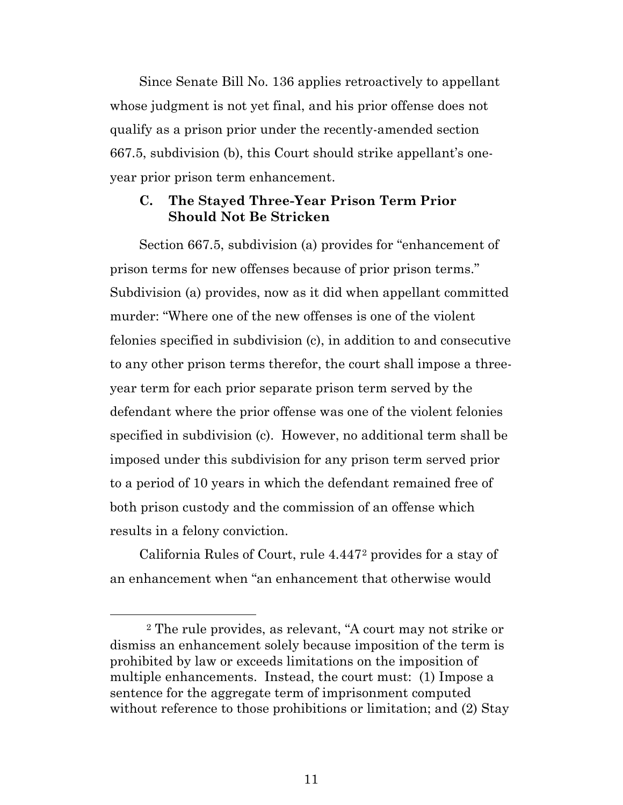Since Senate Bill No. 136 applies retroactively to appellant whose judgment is not yet final, and his prior offense does not qualify as a prison prior under the recently-amended section 667.5, subdivision (b), this Court should strike appellant's oneyear prior prison term enhancement.

### **C. The Stayed Three-Year Prison Term Prior Should Not Be Stricken**

Section 667.5, subdivision (a) provides for "enhancement of prison terms for new offenses because of prior prison terms." Subdivision (a) provides, now as it did when appellant committed murder: "Where one of the new offenses is one of the violent felonies specified in subdivision (c), in addition to and consecutive to any other prison terms therefor, the court shall impose a threeyear term for each prior separate prison term served by the defendant where the prior offense was one of the violent felonies specified in subdivision (c). However, no additional term shall be imposed under this subdivision for any prison term served prior to a period of 10 years in which the defendant remained free of both prison custody and the commission of an offense which results in a felony conviction.

California Rules of Court, rule 4.447[2](#page-10-0) provides for a stay of an enhancement when "an enhancement that otherwise would

<span id="page-10-0"></span> <sup>2</sup> The rule provides, as relevant, "A court may not strike or dismiss an enhancement solely because imposition of the term is prohibited by law or exceeds limitations on the imposition of multiple enhancements. Instead, the court must: (1) Impose a sentence for the aggregate term of imprisonment computed without reference to those prohibitions or limitation; and (2) Stay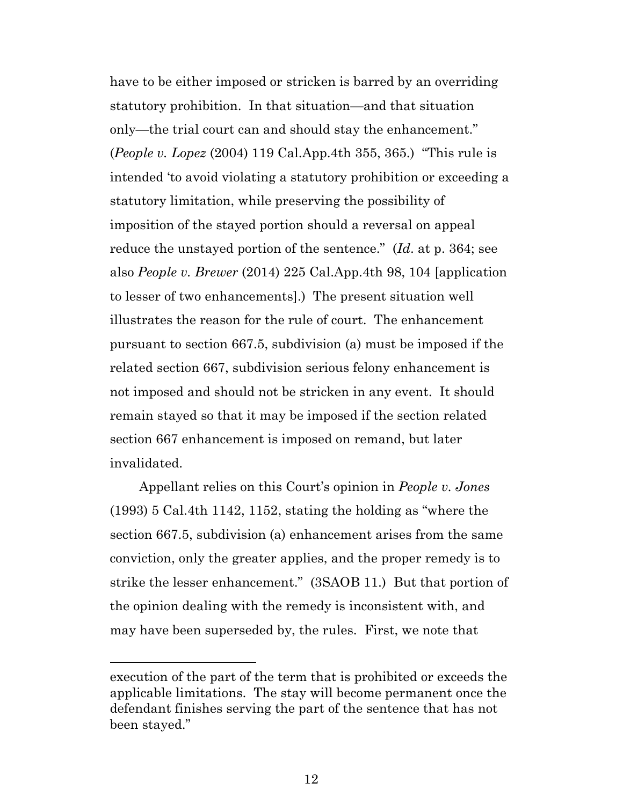have to be either imposed or stricken is barred by an overriding statutory prohibition. In that situation—and that situation only—the trial court can and should stay the enhancement." (*People v. Lopez* (2004) 119 Cal.App.4th 355, 365.) "This rule is intended 'to avoid violating a statutory prohibition or exceeding a statutory limitation, while preserving the possibility of imposition of the stayed portion should a reversal on appeal reduce the unstayed portion of the sentence." (*Id*. at p. 364; see also *People v. Brewer* (2014) 225 Cal.App.4th 98, 104 [application to lesser of two enhancements].) The present situation well illustrates the reason for the rule of court. The enhancement pursuant to section 667.5, subdivision (a) must be imposed if the related section 667, subdivision serious felony enhancement is not imposed and should not be stricken in any event. It should remain stayed so that it may be imposed if the section related section 667 enhancement is imposed on remand, but later invalidated.

Appellant relies on this Court's opinion in *People v. Jones* (1993) 5 Cal.4th 1142, 1152, stating the holding as "where the section 667.5, subdivision (a) enhancement arises from the same conviction, only the greater applies, and the proper remedy is to strike the lesser enhancement." (3SAOB 11.) But that portion of the opinion dealing with the remedy is inconsistent with, and may have been superseded by, the rules. First, we note that

l

execution of the part of the term that is prohibited or exceeds the applicable limitations. The stay will become permanent once the defendant finishes serving the part of the sentence that has not been stayed."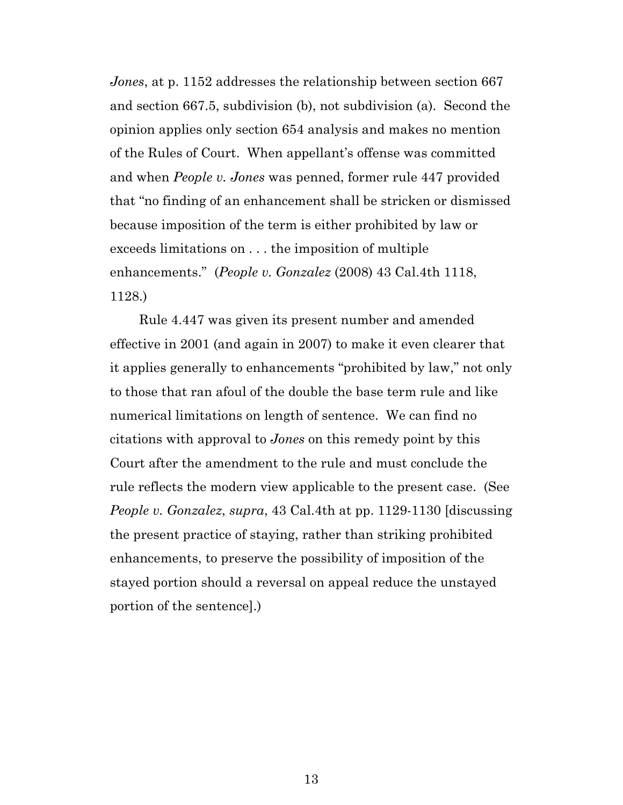*Jones*, at p. 1152 addresses the relationship between section 667 and section 667.5, subdivision (b), not subdivision (a). Second the opinion applies only section 654 analysis and makes no mention of the Rules of Court. When appellant's offense was committed and when *People v. Jones* was penned, former rule 447 provided that "no finding of an enhancement shall be stricken or dismissed because imposition of the term is either prohibited by law or exceeds limitations on . . . the imposition of multiple enhancements." (*People v. Gonzalez* (2008) 43 Cal.4th 1118, 1128.)

Rule 4.447 was given its present number and amended effective in 2001 (and again in 2007) to make it even clearer that it applies generally to enhancements "prohibited by law," not only to those that ran afoul of the double the base term rule and like numerical limitations on length of sentence. We can find no citations with approval to *Jones* on this remedy point by this Court after the amendment to the rule and must conclude the rule reflects the modern view applicable to the present case. (See *People v. Gonzalez*, *supra*, 43 Cal.4th at pp. 1129-1130 [discussing the present practice of staying, rather than striking prohibited enhancements, to preserve the possibility of imposition of the stayed portion should a reversal on appeal reduce the unstayed portion of the sentence].)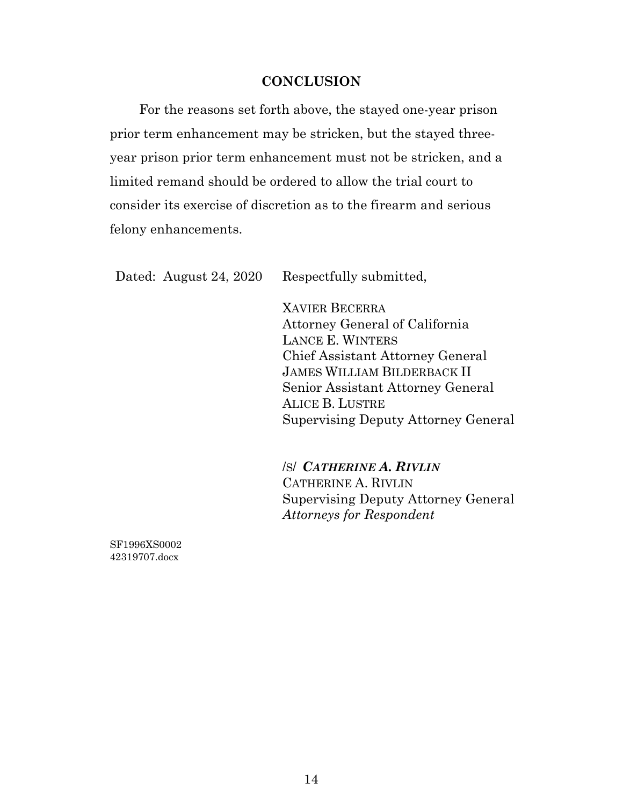#### **CONCLUSION**

For the reasons set forth above, the stayed one-year prison prior term enhancement may be stricken, but the stayed threeyear prison prior term enhancement must not be stricken, and a limited remand should be ordered to allow the trial court to consider its exercise of discretion as to the firearm and serious felony enhancements.

Dated: August 24, 2020 Respectfully submitted,

XAVIER BECERRA Attorney General of California LANCE E. WINTERS Chief Assistant Attorney General JAMES WILLIAM BILDERBACK II Senior Assistant Attorney General ALICE B. LUSTRE Supervising Deputy Attorney General

/S/ *CATHERINE A. RIVLIN* CATHERINE A. RIVLIN Supervising Deputy Attorney General *Attorneys for Respondent*

SF1996XS0002 42319707.docx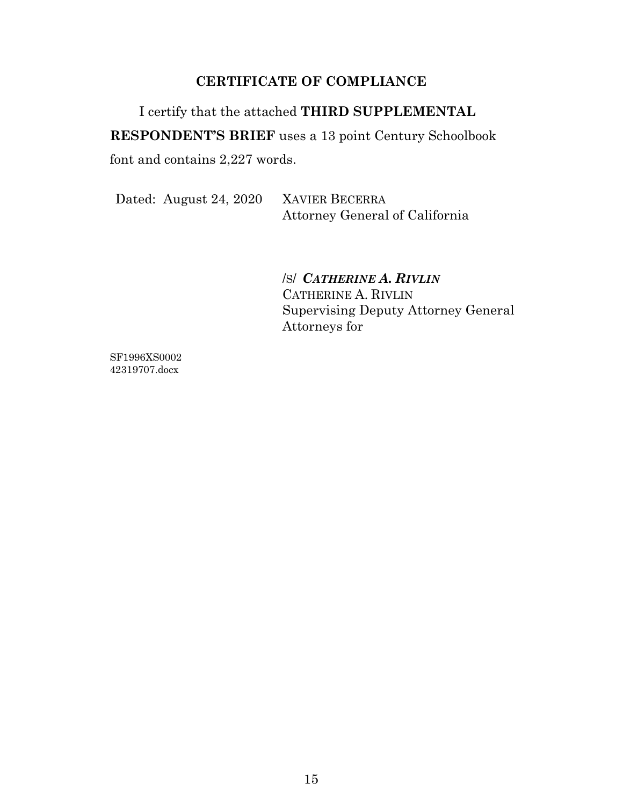## **CERTIFICATE OF COMPLIANCE**

I certify that the attached **THIRD SUPPLEMENTAL RESPONDENT'S BRIEF** uses a 13 point Century Schoolbook font and contains 2,227 words.

Dated: August 24, 2020 XAVIER BECERRA

Attorney General of California

/S/ *CATHERINE A. RIVLIN* CATHERINE A. RIVLIN Supervising Deputy Attorney General Attorneys for

SF1996XS0002 42319707.docx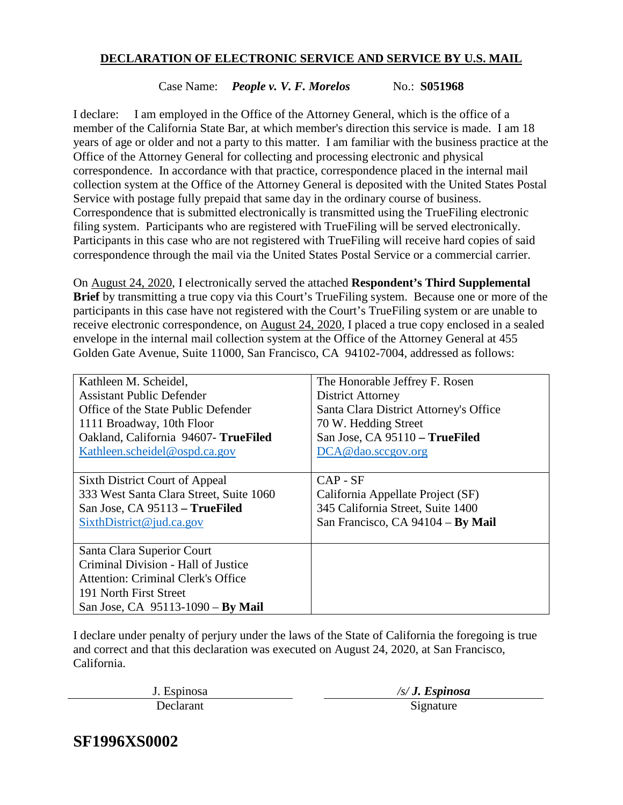### **DECLARATION OF ELECTRONIC SERVICE AND SERVICE BY U.S. MAIL**

#### Case Name: *People v. V. F. Morelos* No.: **S051968**

I declare: I am employed in the Office of the Attorney General, which is the office of a member of the California State Bar, at which member's direction this service is made. I am 18 years of age or older and not a party to this matter. I am familiar with the business practice at the Office of the Attorney General for collecting and processing electronic and physical correspondence. In accordance with that practice, correspondence placed in the internal mail collection system at the Office of the Attorney General is deposited with the United States Postal Service with postage fully prepaid that same day in the ordinary course of business. Correspondence that is submitted electronically is transmitted using the TrueFiling electronic filing system. Participants who are registered with TrueFiling will be served electronically. Participants in this case who are not registered with TrueFiling will receive hard copies of said correspondence through the mail via the United States Postal Service or a commercial carrier.

On August 24, 2020, I electronically served the attached **Respondent's Third Supplemental Brief** by transmitting a true copy via this Court's TrueFiling system. Because one or more of the participants in this case have not registered with the Court's TrueFiling system or are unable to receive electronic correspondence, on August 24, 2020, I placed a true copy enclosed in a sealed envelope in the internal mail collection system at the Office of the Attorney General at 455 Golden Gate Avenue, Suite 11000, San Francisco, CA 94102-7004, addressed as follows:

| Kathleen M. Scheidel,                     | The Honorable Jeffrey F. Rosen         |  |
|-------------------------------------------|----------------------------------------|--|
| <b>Assistant Public Defender</b>          | <b>District Attorney</b>               |  |
| Office of the State Public Defender       | Santa Clara District Attorney's Office |  |
| 1111 Broadway, 10th Floor                 | 70 W. Hedding Street                   |  |
| Oakland, California 94607- TrueFiled      | San Jose, CA 95110 - TrueFiled         |  |
| Kathleen.scheidel@ospd.ca.gov             | DCA@dao.sccgov.org                     |  |
|                                           |                                        |  |
| Sixth District Court of Appeal            | $CAP - SF$                             |  |
| 333 West Santa Clara Street, Suite 1060   | California Appellate Project (SF)      |  |
| San Jose, CA 95113 - TrueFiled            | 345 California Street, Suite 1400      |  |
| Sixth District @ jud.ca.gov               | San Francisco, CA 94104 - By Mail      |  |
|                                           |                                        |  |
| Santa Clara Superior Court                |                                        |  |
| Criminal Division - Hall of Justice       |                                        |  |
| <b>Attention: Criminal Clerk's Office</b> |                                        |  |
| 191 North First Street                    |                                        |  |
| San Jose, CA 95113-1090 - By Mail         |                                        |  |

I declare under penalty of perjury under the laws of the State of California the foregoing is true and correct and that this declaration was executed on August 24, 2020, at San Francisco, California.

J. Espinosa */s/ J. Espinosa*

Declarant

**SF1996XS0002**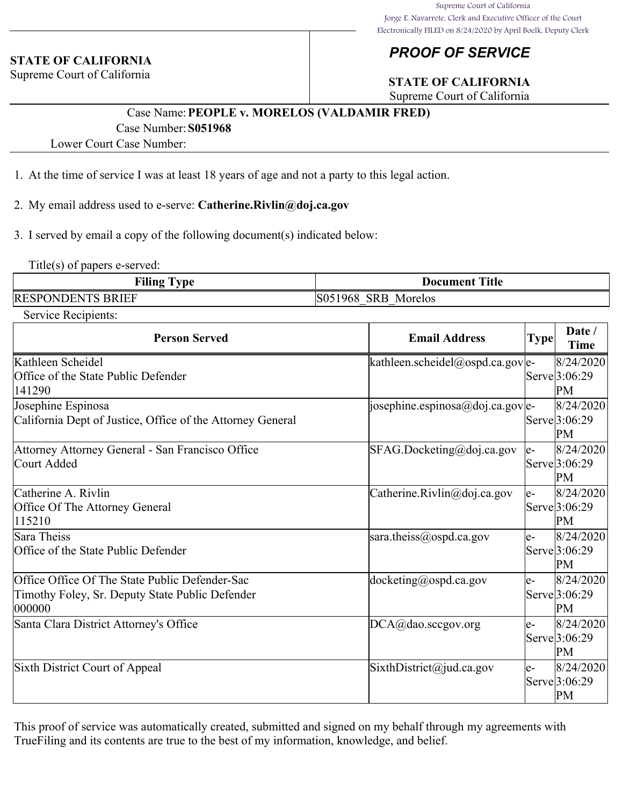#### **STATE OF CALIFORNIA**

Supreme Court of California

# *PROOF OF SERVICE*

# **STATE OF CALIFORNIA**

Supreme Court of California

# Case Name:**PEOPLE v. MORELOS (VALDAMIR FRED)** Case Number:**S051968**

Lower Court Case Number:

- 1. At the time of service I was at least 18 years of age and not a party to this legal action.
- 2. My email address used to e-serve: **Catherine.Rivlin@doj.ca.gov**
- 3. I served by email a copy of the following document(s) indicated below:

Title(s) of papers e-served:

| Filing $T_1$<br>l vpe    | <b>Document Title</b> |
|--------------------------|-----------------------|
| <b>RESPONDENTS BRIEF</b> | S051968 SRB Morelos   |

Service Recipients:

| <b>Person Served</b>                                                                                        | <b>Email Address</b>             | <b>Type</b> | Date /<br><b>Time</b>                         |
|-------------------------------------------------------------------------------------------------------------|----------------------------------|-------------|-----------------------------------------------|
| Kathleen Scheidel<br>Office of the State Public Defender<br>141290                                          | kathleen.scheidel@ospd.ca.gov e- |             | 8/24/2020<br>Serve <sup>[3:06:29]</sup><br>PM |
| Josephine Espinosa<br>California Dept of Justice, Office of the Attorney General                            | josephine.espinosa@doj.ca.gov e- |             | 8/24/2020<br>Serve <sup>[3:06:29]</sup><br>PM |
| Attorney Attorney General - San Francisco Office<br>Court Added                                             | SFAG.Docketing@doj.ca.gov        | le-         | 8/24/2020<br>Serve <sup>[3:06:29]</sup><br>PM |
| Catherine A. Rivlin<br>Office Of The Attorney General<br>115210                                             | Catherine.Rivlin@doj.ca.gov      | $e-$        | 8/24/2020<br>Serve 3:06:29<br>PM              |
| Sara Theiss<br>Office of the State Public Defender                                                          | sara.theiss@ospd.ca.gov          | $e-$        | 8/24/2020<br>Serve <sup>[3:06:29]</sup><br>PM |
| Office Office Of The State Public Defender-Sac<br>Timothy Foley, Sr. Deputy State Public Defender<br>000000 | $docketing(\omega)$ ospd.ca.gov  | le-         | 8/24/2020<br>Serve 3:06:29<br>PM              |
| Santa Clara District Attorney's Office                                                                      | DCA@dao.sccgov.org               | le-         | 8/24/2020 <br>Serve 3:06:29<br>PM             |
| Sixth District Court of Appeal                                                                              | SixthDistrict@jud.ca.gov         | le-         | 8/24/2020<br>Serve <sup>[3:06:29]</sup><br>PM |

This proof of service was automatically created, submitted and signed on my behalf through my agreements with TrueFiling and its contents are true to the best of my information, knowledge, and belief.